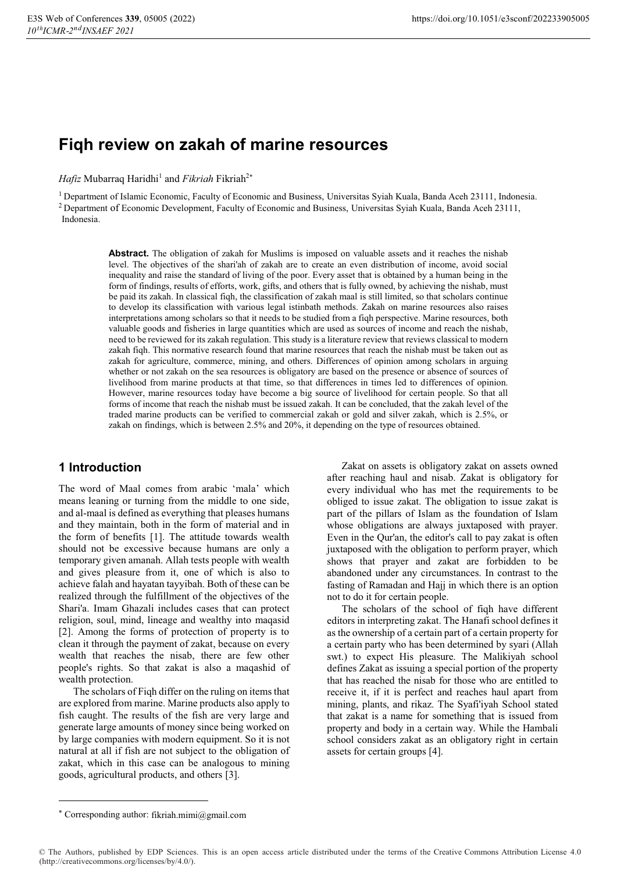# **Fiqh review on zakah of marine resources**

*Hafiz* Mubarraq Haridhi<sup>1</sup> and *Fikriah* Fikriah<sup>2\*</sup>

<sup>1</sup> Department of Islamic Economic, Faculty of Economic and Business, Universitas Syiah Kuala, Banda Aceh 23111, Indonesia.<br><sup>2</sup> Department of Economic Development, Faculty of Economic and Business, Universitas Syiah Kuala, Indonesia.

> **Abstract.** The obligation of zakah for Muslims is imposed on valuable assets and it reaches the nishab level. The objectives of the shari'ah of zakah are to create an even distribution of income, avoid social inequality and raise the standard of living of the poor. Every asset that is obtained by a human being in the form of findings, results of efforts, work, gifts, and others that is fully owned, by achieving the nishab, must be paid its zakah. In classical fiqh, the classification of zakah maal is still limited, so that scholars continue to develop its classification with various legal istinbath methods. Zakah on marine resources also raises interpretations among scholars so that it needs to be studied from a fiqh perspective. Marine resources, both valuable goods and fisheries in large quantities which are used as sources of income and reach the nishab, need to be reviewed for its zakah regulation. This study is a literature review that reviews classical to modern zakah fiqh. This normative research found that marine resources that reach the nishab must be taken out as zakah for agriculture, commerce, mining, and others. Differences of opinion among scholars in arguing whether or not zakah on the sea resources is obligatory are based on the presence or absence of sources of livelihood from marine products at that time, so that differences in times led to differences of opinion. However, marine resources today have become a big source of livelihood for certain people. So that all forms of income that reach the nishab must be issued zakah. It can be concluded, that the zakah level of the traded marine products can be verified to commercial zakah or gold and silver zakah, which is 2.5%, or zakah on findings, which is between 2.5% and 20%, it depending on the type of resources obtained.

## **1 Introduction**

The word of Maal comes from arabic 'mala' which means leaning or turning from the middle to one side, and al-maal is defined as everything that pleases humans and they maintain, both in the form of material and in the form of benefits [1]. The attitude towards wealth should not be excessive because humans are only a temporary given amanah. Allah tests people with wealth and gives pleasure from it, one of which is also to achieve falah and hayatan tayyibah. Both of these can be realized through the fulfillment of the objectives of the Shari'a. Imam Ghazali includes cases that can protect religion, soul, mind, lineage and wealthy into maqasid [2]. Among the forms of protection of property is to clean it through the payment of zakat, because on every wealth that reaches the nisab, there are few other people's rights. So that zakat is also a maqashid of wealth protection.

The scholars of Fiqh differ on the ruling on items that are explored from marine. Marine products also apply to fish caught. The results of the fish are very large and generate large amounts of money since being worked on by large companies with modern equipment. So it is not natural at all if fish are not subject to the obligation of zakat, which in this case can be analogous to mining goods, agricultural products, and others [3].

Zakat on assets is obligatory zakat on assets owned after reaching haul and nisab. Zakat is obligatory for every individual who has met the requirements to be obliged to issue zakat. The obligation to issue zakat is part of the pillars of Islam as the foundation of Islam whose obligations are always juxtaposed with prayer. Even in the Qur'an, the editor's call to pay zakat is often juxtaposed with the obligation to perform prayer, which shows that prayer and zakat are forbidden to be abandoned under any circumstances. In contrast to the fasting of Ramadan and Hajj in which there is an option not to do it for certain people.

The scholars of the school of fiqh have different editors in interpreting zakat. The Hanafi school defines it as the ownership of a certain part of a certain property for a certain party who has been determined by syari (Allah swt.) to expect His pleasure. The Malikiyah school defines Zakat as issuing a special portion of the property that has reached the nisab for those who are entitled to receive it, if it is perfect and reaches haul apart from mining, plants, and rikaz. The Syafi'iyah School stated that zakat is a name for something that is issued from property and body in a certain way. While the Hambali school considers zakat as an obligatory right in certain assets for certain groups [4].

<u>.</u>

<sup>-</sup> Corresponding author: fikriah.mimi@gmail.com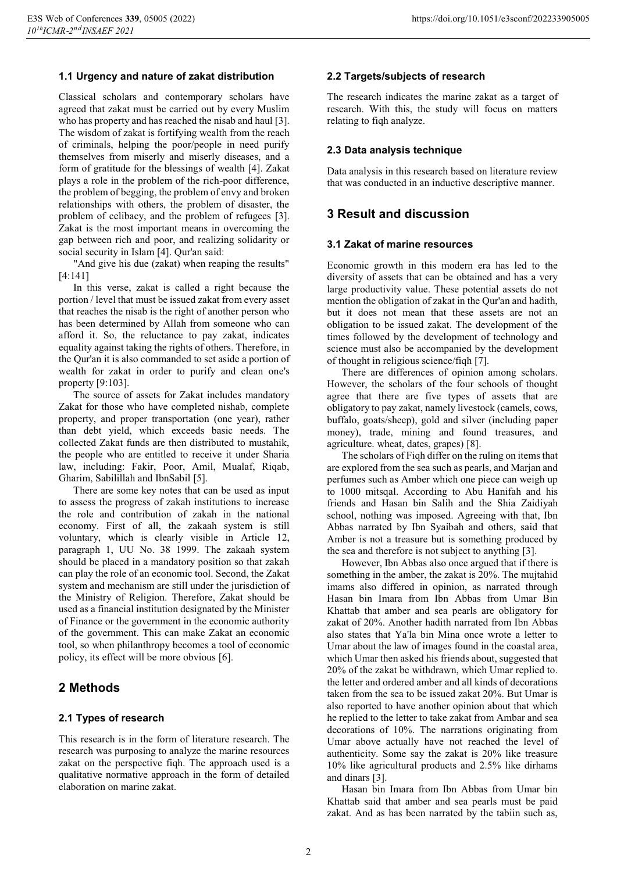#### **1.1 Urgency and nature of zakat distribution**

Classical scholars and contemporary scholars have agreed that zakat must be carried out by every Muslim who has property and has reached the nisab and haul [3]. The wisdom of zakat is fortifying wealth from the reach of criminals, helping the poor/people in need purify themselves from miserly and miserly diseases, and a form of gratitude for the blessings of wealth [4]. Zakat plays a role in the problem of the rich-poor difference, the problem of begging, the problem of envy and broken relationships with others, the problem of disaster, the problem of celibacy, and the problem of refugees [3]. Zakat is the most important means in overcoming the gap between rich and poor, and realizing solidarity or social security in Islam [4]. Qur'an said:

"And give his due (zakat) when reaping the results" [4:141]

In this verse, zakat is called a right because the portion / level that must be issued zakat from every asset that reaches the nisab is the right of another person who has been determined by Allah from someone who can afford it. So, the reluctance to pay zakat, indicates equality against taking the rights of others. Therefore, in the Qur'an it is also commanded to set aside a portion of wealth for zakat in order to purify and clean one's property [9:103].

The source of assets for Zakat includes mandatory Zakat for those who have completed nishab, complete property, and proper transportation (one year), rather than debt yield, which exceeds basic needs. The collected Zakat funds are then distributed to mustahik, the people who are entitled to receive it under Sharia law, including: Fakir, Poor, Amil, Mualaf, Riqab, Gharim, Sabilillah and IbnSabil [5].

There are some key notes that can be used as input to assess the progress of zakah institutions to increase the role and contribution of zakah in the national economy. First of all, the zakaah system is still voluntary, which is clearly visible in Article 12, paragraph 1, UU No. 38 1999. The zakaah system should be placed in a mandatory position so that zakah can play the role of an economic tool. Second, the Zakat system and mechanism are still under the jurisdiction of the Ministry of Religion. Therefore, Zakat should be used as a financial institution designated by the Minister of Finance or the government in the economic authority of the government. This can make Zakat an economic tool, so when philanthropy becomes a tool of economic policy, its effect will be more obvious [6].

## **2 Methods**

#### **2.1 Types of research**

This research is in the form of literature research. The research was purposing to analyze the marine resources zakat on the perspective fiqh. The approach used is a qualitative normative approach in the form of detailed elaboration on marine zakat.

#### **2.2 Targets/subjects of research**

The research indicates the marine zakat as a target of research. With this, the study will focus on matters relating to fiqh analyze.

#### **2.3 Data analysis technique**

Data analysis in this research based on literature review that was conducted in an inductive descriptive manner.

### **3 Result and discussion**

#### **3.1 Zakat of marine resources**

Economic growth in this modern era has led to the diversity of assets that can be obtained and has a very large productivity value. These potential assets do not mention the obligation of zakat in the Qur'an and hadith, but it does not mean that these assets are not an obligation to be issued zakat. The development of the times followed by the development of technology and science must also be accompanied by the development of thought in religious science/fiqh [7].

There are differences of opinion among scholars. However, the scholars of the four schools of thought agree that there are five types of assets that are obligatory to pay zakat, namely livestock (camels, cows, buffalo, goats/sheep), gold and silver (including paper money), trade, mining and found treasures, and agriculture. wheat, dates, grapes) [8].

The scholars of Fiqh differ on the ruling on items that are explored from the sea such as pearls, and Marjan and perfumes such as Amber which one piece can weigh up to 1000 mitsqal. According to Abu Hanifah and his friends and Hasan bin Salih and the Shia Zaidiyah school, nothing was imposed. Agreeing with that, Ibn Abbas narrated by Ibn Syaibah and others, said that Amber is not a treasure but is something produced by the sea and therefore is not subject to anything [3].

However, Ibn Abbas also once argued that if there is something in the amber, the zakat is 20%. The mujtahid imams also differed in opinion, as narrated through Hasan bin Imara from Ibn Abbas from Umar Bin Khattab that amber and sea pearls are obligatory for zakat of 20%. Another hadith narrated from Ibn Abbas also states that Ya'la bin Mina once wrote a letter to Umar about the law of images found in the coastal area, which Umar then asked his friends about, suggested that 20% of the zakat be withdrawn, which Umar replied to. the letter and ordered amber and all kinds of decorations taken from the sea to be issued zakat 20%. But Umar is also reported to have another opinion about that which he replied to the letter to take zakat from Ambar and sea decorations of 10%. The narrations originating from Umar above actually have not reached the level of authenticity. Some say the zakat is 20% like treasure 10% like agricultural products and 2.5% like dirhams and dinars [3].

Hasan bin Imara from Ibn Abbas from Umar bin Khattab said that amber and sea pearls must be paid zakat. And as has been narrated by the tabiin such as,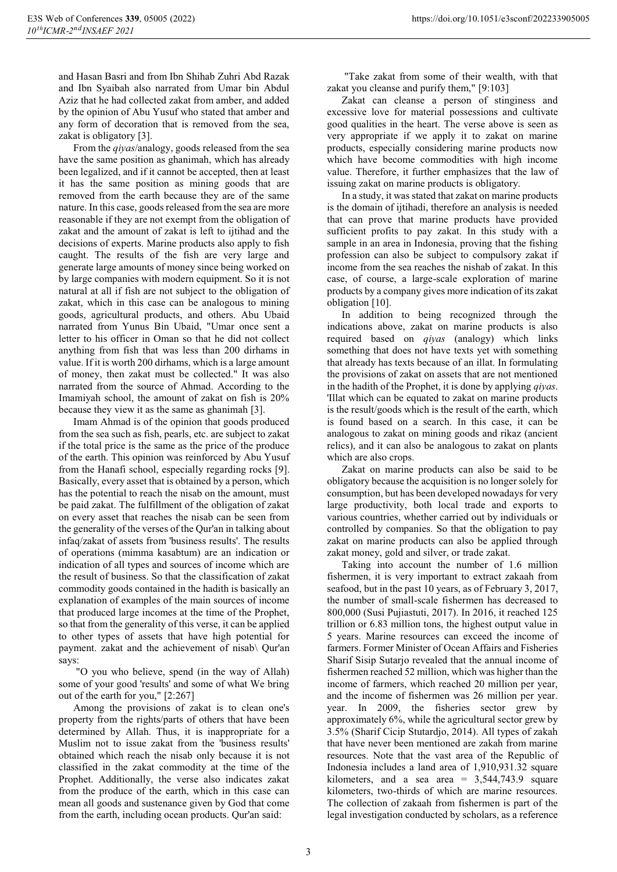and Hasan Basri and from Ibn Shihab Zuhri Abd Razak and Ibn Syaibah also narrated from Umar bin Abdul Aziz that he had collected zakat from amber, and added by the opinion of Abu Yusuf who stated that amber and any form of decoration that is removed from the sea, zakat is obligatory [3].

From the *qiyas*/analogy, goods released from the sea have the same position as ghanimah, which has already been legalized, and if it cannot be accepted, then at least it has the same position as mining goods that are removed from the earth because they are of the same nature. In this case, goods released from the sea are more reasonable if they are not exempt from the obligation of zakat and the amount of zakat is left to ijtihad and the decisions of experts. Marine products also apply to fish caught. The results of the fish are very large and generate large amounts of money since being worked on by large companies with modern equipment. So it is not natural at all if fish are not subject to the obligation of zakat, which in this case can be analogous to mining goods, agricultural products, and others. Abu Ubaid narrated from Yunus Bin Ubaid, "Umar once sent a letter to his officer in Oman so that he did not collect anything from fish that was less than 200 dirhams in value. If it is worth 200 dirhams, which is a large amount of money, then zakat must be collected." It was also narrated from the source of Ahmad. According to the Imamiyah school, the amount of zakat on fish is 20% because they view it as the same as ghanimah [3].

Imam Ahmad is of the opinion that goods produced from the sea such as fish, pearls, etc. are subject to zakat if the total price is the same as the price of the produce of the earth. This opinion was reinforced by Abu Yusuf from the Hanafi school, especially regarding rocks [9]. Basically, every asset that is obtained by a person, which has the potential to reach the nisab on the amount, must be paid zakat. The fulfillment of the obligation of zakat on every asset that reaches the nisab can be seen from the generality of the verses of the Qur'an in talking about infaq/zakat of assets from 'business results'. The results of operations (mimma kasabtum) are an indication or indication of all types and sources of income which are the result of business. So that the classification of zakat commodity goods contained in the hadith is basically an explanation of examples of the main sources of income that produced large incomes at the time of the Prophet, so that from the generality of this verse, it can be applied to other types of assets that have high potential for payment. zakat and the achievement of nisab\ Qur'an says:

 "O you who believe, spend (in the way of Allah) some of your good 'results' and some of what We bring out of the earth for you," [2:267]

Among the provisions of zakat is to clean one's property from the rights/parts of others that have been determined by Allah. Thus, it is inappropriate for a Muslim not to issue zakat from the 'business results' obtained which reach the nisab only because it is not classified in the zakat commodity at the time of the Prophet. Additionally, the verse also indicates zakat from the produce of the earth, which in this case can mean all goods and sustenance given by God that come from the earth, including ocean products. Qur'an said:

 "Take zakat from some of their wealth, with that zakat you cleanse and purify them," [9:103]

Zakat can cleanse a person of stinginess and excessive love for material possessions and cultivate good qualities in the heart. The verse above is seen as very appropriate if we apply it to zakat on marine products, especially considering marine products now which have become commodities with high income value. Therefore, it further emphasizes that the law of issuing zakat on marine products is obligatory.

In a study, it was stated that zakat on marine products is the domain of ijtihadi, therefore an analysis is needed that can prove that marine products have provided sufficient profits to pay zakat. In this study with a sample in an area in Indonesia, proving that the fishing profession can also be subject to compulsory zakat if income from the sea reaches the nishab of zakat. In this case, of course, a large-scale exploration of marine products by a company gives more indication of its zakat obligation [10].

In addition to being recognized through the indications above, zakat on marine products is also required based on *qiyas* (analogy) which links something that does not have texts yet with something that already has texts because of an illat. In formulating the provisions of zakat on assets that are not mentioned in the hadith of the Prophet, it is done by applying *qiyas*. 'Illat which can be equated to zakat on marine products is the result/goods which is the result of the earth, which is found based on a search. In this case, it can be analogous to zakat on mining goods and rikaz (ancient relics), and it can also be analogous to zakat on plants which are also crops.

Zakat on marine products can also be said to be obligatory because the acquisition is no longer solely for consumption, but has been developed nowadays for very large productivity, both local trade and exports to various countries, whether carried out by individuals or controlled by companies. So that the obligation to pay zakat on marine products can also be applied through zakat money, gold and silver, or trade zakat.

Taking into account the number of 1.6 million fishermen, it is very important to extract zakaah from seafood, but in the past 10 years, as of February 3, 2017, the number of small-scale fishermen has decreased to 800,000 (Susi Pujiastuti, 2017). In 2016, it reached 125 trillion or 6.83 million tons, the highest output value in 5 years. Marine resources can exceed the income of farmers. Former Minister of Ocean Affairs and Fisheries Sharif Sisip Sutarjo revealed that the annual income of fishermen reached 52 million, which was higher than the income of farmers, which reached 20 million per year, and the income of fishermen was 26 million per year. year. In 2009, the fisheries sector grew by approximately 6%, while the agricultural sector grew by 3.5% (Sharif Cicip Stutardjo, 2014). All types of zakah that have never been mentioned are zakah from marine resources. Note that the vast area of the Republic of Indonesia includes a land area of 1,910,931.32 square kilometers, and a sea area =  $3,544,743.9$  square kilometers, two-thirds of which are marine resources. The collection of zakaah from fishermen is part of the legal investigation conducted by scholars, as a reference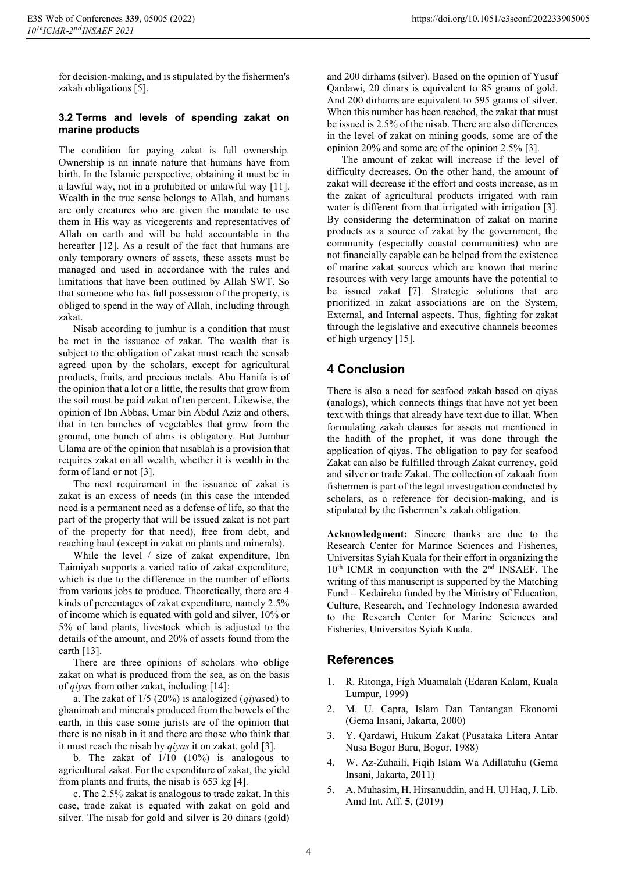for decision-making, and is stipulated by the fishermen's zakah obligations [5].

#### **3.2 Terms and levels of spending zakat on marine products**

The condition for paying zakat is full ownership. Ownership is an innate nature that humans have from birth. In the Islamic perspective, obtaining it must be in a lawful way, not in a prohibited or unlawful way [11]. Wealth in the true sense belongs to Allah, and humans are only creatures who are given the mandate to use them in His way as vicegerents and representatives of Allah on earth and will be held accountable in the hereafter [12]. As a result of the fact that humans are only temporary owners of assets, these assets must be managed and used in accordance with the rules and limitations that have been outlined by Allah SWT. So that someone who has full possession of the property, is obliged to spend in the way of Allah, including through zakat.

Nisab according to jumhur is a condition that must be met in the issuance of zakat. The wealth that is subject to the obligation of zakat must reach the sensab agreed upon by the scholars, except for agricultural products, fruits, and precious metals. Abu Hanifa is of the opinion that a lot or a little, the results that grow from the soil must be paid zakat of ten percent. Likewise, the opinion of Ibn Abbas, Umar bin Abdul Aziz and others, that in ten bunches of vegetables that grow from the ground, one bunch of alms is obligatory. But Jumhur Ulama are of the opinion that nisablah is a provision that requires zakat on all wealth, whether it is wealth in the form of land or not [3].

The next requirement in the issuance of zakat is zakat is an excess of needs (in this case the intended need is a permanent need as a defense of life, so that the part of the property that will be issued zakat is not part of the property for that need), free from debt, and reaching haul (except in zakat on plants and minerals).

While the level / size of zakat expenditure, Ibn Taimiyah supports a varied ratio of zakat expenditure, which is due to the difference in the number of efforts from various jobs to produce. Theoretically, there are 4 kinds of percentages of zakat expenditure, namely 2.5% of income which is equated with gold and silver, 10% or 5% of land plants, livestock which is adjusted to the details of the amount, and 20% of assets found from the earth [13].

There are three opinions of scholars who oblige zakat on what is produced from the sea, as on the basis of *qiyas* from other zakat, including [14]:

a. The zakat of 1/5 (20%) is analogized (*qiyas*ed) to ghanimah and minerals produced from the bowels of the earth, in this case some jurists are of the opinion that there is no nisab in it and there are those who think that it must reach the nisab by *qiyas* it on zakat. gold [3].

b. The zakat of  $1/10$   $(10\%)$  is analogous to agricultural zakat. For the expenditure of zakat, the yield from plants and fruits, the nisab is 653 kg [4].

c. The 2.5% zakat is analogous to trade zakat. In this case, trade zakat is equated with zakat on gold and silver. The nisab for gold and silver is 20 dinars (gold) and 200 dirhams (silver). Based on the opinion of Yusuf Qardawi, 20 dinars is equivalent to 85 grams of gold. And 200 dirhams are equivalent to 595 grams of silver. When this number has been reached, the zakat that must be issued is 2.5% of the nisab. There are also differences in the level of zakat on mining goods, some are of the opinion 20% and some are of the opinion 2.5% [3].

The amount of zakat will increase if the level of difficulty decreases. On the other hand, the amount of zakat will decrease if the effort and costs increase, as in the zakat of agricultural products irrigated with rain water is different from that irrigated with irrigation [3]. By considering the determination of zakat on marine products as a source of zakat by the government, the community (especially coastal communities) who are not financially capable can be helped from the existence of marine zakat sources which are known that marine resources with very large amounts have the potential to be issued zakat [7]. Strategic solutions that are prioritized in zakat associations are on the System, External, and Internal aspects. Thus, fighting for zakat through the legislative and executive channels becomes of high urgency [15].

## **4 Conclusion**

There is also a need for seafood zakah based on qiyas (analogs), which connects things that have not yet been text with things that already have text due to illat. When formulating zakah clauses for assets not mentioned in the hadith of the prophet, it was done through the application of qiyas. The obligation to pay for seafood Zakat can also be fulfilled through Zakat currency, gold and silver or trade Zakat. The collection of zakaah from fishermen is part of the legal investigation conducted by scholars, as a reference for decision-making, and is stipulated by the fishermen's zakah obligation.

**Acknowledgment:** Sincere thanks are due to the Research Center for Marince Sciences and Fisheries, Universitas Syiah Kuala for their effort in organizing the 10th ICMR in conjunction with the 2nd INSAEF. The writing of this manuscript is supported by the Matching Fund – Kedaireka funded by the Ministry of Education, Culture, Research, and Technology Indonesia awarded to the Research Center for Marine Sciences and Fisheries, Universitas Syiah Kuala.

## **References**

- 1. R. Ritonga, Figh Muamalah (Edaran Kalam, Kuala Lumpur, 1999)
- 2. M. U. Capra, Islam Dan Tantangan Ekonomi (Gema Insani, Jakarta, 2000)
- 3. Y. Qardawi, Hukum Zakat (Pusataka Litera Antar Nusa Bogor Baru, Bogor, 1988)
- 4. W. Az-Zuhaili, Fiqih Islam Wa Adillatuhu (Gema Insani, Jakarta, 2011)
- 5. A. Muhasim, H. Hirsanuddin, and H. Ul Haq, J. Lib. Amd Int. Aff. **5**, (2019)